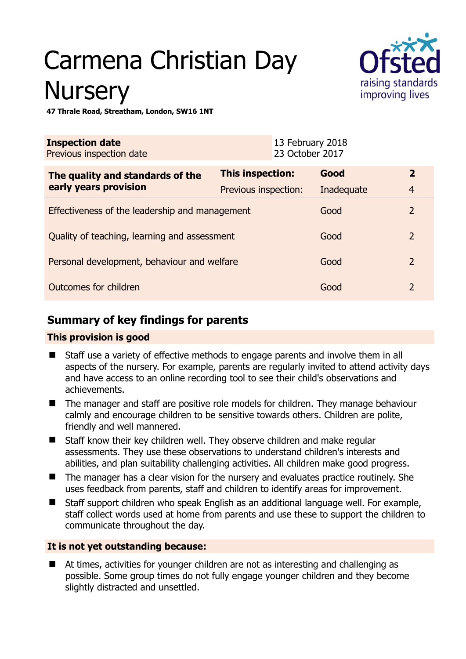# Carmena Christian Day **Nursery**



**47 Thrale Road, Streatham, London, SW16 1NT** 

| <b>Inspection date</b><br>Previous inspection date        |                         | 13 February 2018<br>23 October 2017 |            |                |
|-----------------------------------------------------------|-------------------------|-------------------------------------|------------|----------------|
| The quality and standards of the<br>early years provision | <b>This inspection:</b> |                                     | Good       | $\overline{2}$ |
|                                                           | Previous inspection:    |                                     | Inadequate | $\overline{4}$ |
| Effectiveness of the leadership and management            |                         |                                     | Good       | $\overline{2}$ |
| Quality of teaching, learning and assessment              |                         |                                     | Good       | $\overline{2}$ |
| Personal development, behaviour and welfare               |                         |                                     | Good       | $\overline{2}$ |
| Outcomes for children                                     |                         |                                     | Good       | $\mathcal{P}$  |

## **Summary of key findings for parents**

## **This provision is good**

- Staff use a variety of effective methods to engage parents and involve them in all aspects of the nursery. For example, parents are regularly invited to attend activity days and have access to an online recording tool to see their child's observations and achievements.
- The manager and staff are positive role models for children. They manage behaviour calmly and encourage children to be sensitive towards others. Children are polite, friendly and well mannered.
- Staff know their key children well. They observe children and make regular assessments. They use these observations to understand children's interests and abilities, and plan suitability challenging activities. All children make good progress.
- The manager has a clear vision for the nursery and evaluates practice routinely. She uses feedback from parents, staff and children to identify areas for improvement.
- Staff support children who speak English as an additional language well. For example, staff collect words used at home from parents and use these to support the children to communicate throughout the day.

## **It is not yet outstanding because:**

 At times, activities for younger children are not as interesting and challenging as possible. Some group times do not fully engage younger children and they become slightly distracted and unsettled.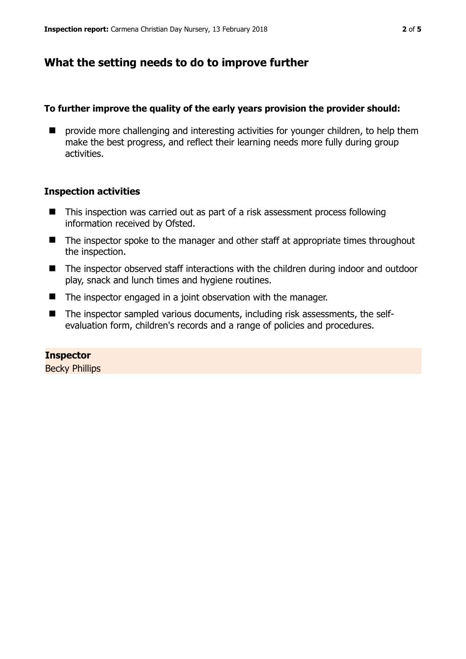## **What the setting needs to do to improve further**

#### **To further improve the quality of the early years provision the provider should:**

 $\blacksquare$  provide more challenging and interesting activities for younger children, to help them make the best progress, and reflect their learning needs more fully during group activities.

#### **Inspection activities**

- This inspection was carried out as part of a risk assessment process following information received by Ofsted.
- The inspector spoke to the manager and other staff at appropriate times throughout the inspection.
- The inspector observed staff interactions with the children during indoor and outdoor play, snack and lunch times and hygiene routines.
- The inspector engaged in a joint observation with the manager.
- The inspector sampled various documents, including risk assessments, the selfevaluation form, children's records and a range of policies and procedures.

**Inspector**  Becky Phillips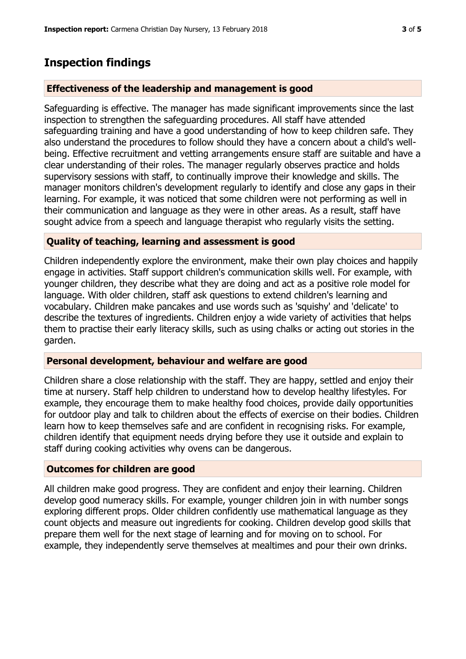## **Inspection findings**

## **Effectiveness of the leadership and management is good**

Safeguarding is effective. The manager has made significant improvements since the last inspection to strengthen the safeguarding procedures. All staff have attended safeguarding training and have a good understanding of how to keep children safe. They also understand the procedures to follow should they have a concern about a child's wellbeing. Effective recruitment and vetting arrangements ensure staff are suitable and have a clear understanding of their roles. The manager regularly observes practice and holds supervisory sessions with staff, to continually improve their knowledge and skills. The manager monitors children's development regularly to identify and close any gaps in their learning. For example, it was noticed that some children were not performing as well in their communication and language as they were in other areas. As a result, staff have sought advice from a speech and language therapist who regularly visits the setting.

### **Quality of teaching, learning and assessment is good**

Children independently explore the environment, make their own play choices and happily engage in activities. Staff support children's communication skills well. For example, with younger children, they describe what they are doing and act as a positive role model for language. With older children, staff ask questions to extend children's learning and vocabulary. Children make pancakes and use words such as 'squishy' and 'delicate' to describe the textures of ingredients. Children enjoy a wide variety of activities that helps them to practise their early literacy skills, such as using chalks or acting out stories in the garden.

### **Personal development, behaviour and welfare are good**

Children share a close relationship with the staff. They are happy, settled and enjoy their time at nursery. Staff help children to understand how to develop healthy lifestyles. For example, they encourage them to make healthy food choices, provide daily opportunities for outdoor play and talk to children about the effects of exercise on their bodies. Children learn how to keep themselves safe and are confident in recognising risks. For example, children identify that equipment needs drying before they use it outside and explain to staff during cooking activities why ovens can be dangerous.

### **Outcomes for children are good**

All children make good progress. They are confident and enjoy their learning. Children develop good numeracy skills. For example, younger children join in with number songs exploring different props. Older children confidently use mathematical language as they count objects and measure out ingredients for cooking. Children develop good skills that prepare them well for the next stage of learning and for moving on to school. For example, they independently serve themselves at mealtimes and pour their own drinks.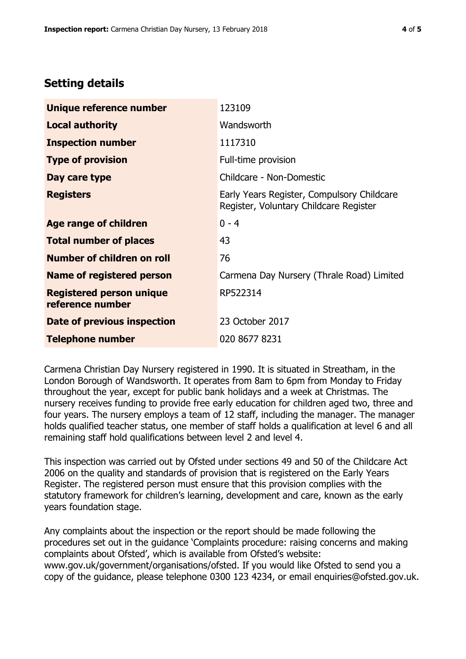# **Setting details**

| Unique reference number                             | 123109                                                                               |  |
|-----------------------------------------------------|--------------------------------------------------------------------------------------|--|
| <b>Local authority</b>                              | Wandsworth                                                                           |  |
| <b>Inspection number</b>                            | 1117310                                                                              |  |
| <b>Type of provision</b>                            | Full-time provision                                                                  |  |
| Day care type                                       | Childcare - Non-Domestic                                                             |  |
| <b>Registers</b>                                    | Early Years Register, Compulsory Childcare<br>Register, Voluntary Childcare Register |  |
| Age range of children                               | $0 - 4$                                                                              |  |
| <b>Total number of places</b>                       | 43                                                                                   |  |
| Number of children on roll                          | 76                                                                                   |  |
| Name of registered person                           | Carmena Day Nursery (Thrale Road) Limited                                            |  |
| <b>Registered person unique</b><br>reference number | RP522314                                                                             |  |
| Date of previous inspection                         | 23 October 2017                                                                      |  |
| <b>Telephone number</b>                             | 020 8677 8231                                                                        |  |

Carmena Christian Day Nursery registered in 1990. It is situated in Streatham, in the London Borough of Wandsworth. It operates from 8am to 6pm from Monday to Friday throughout the year, except for public bank holidays and a week at Christmas. The nursery receives funding to provide free early education for children aged two, three and four years. The nursery employs a team of 12 staff, including the manager. The manager holds qualified teacher status, one member of staff holds a qualification at level 6 and all remaining staff hold qualifications between level 2 and level 4.

This inspection was carried out by Ofsted under sections 49 and 50 of the Childcare Act 2006 on the quality and standards of provision that is registered on the Early Years Register. The registered person must ensure that this provision complies with the statutory framework for children's learning, development and care, known as the early years foundation stage.

Any complaints about the inspection or the report should be made following the procedures set out in the guidance 'Complaints procedure: raising concerns and making complaints about Ofsted', which is available from Ofsted's website: www.gov.uk/government/organisations/ofsted. If you would like Ofsted to send you a copy of the guidance, please telephone 0300 123 4234, or email enquiries@ofsted.gov.uk.